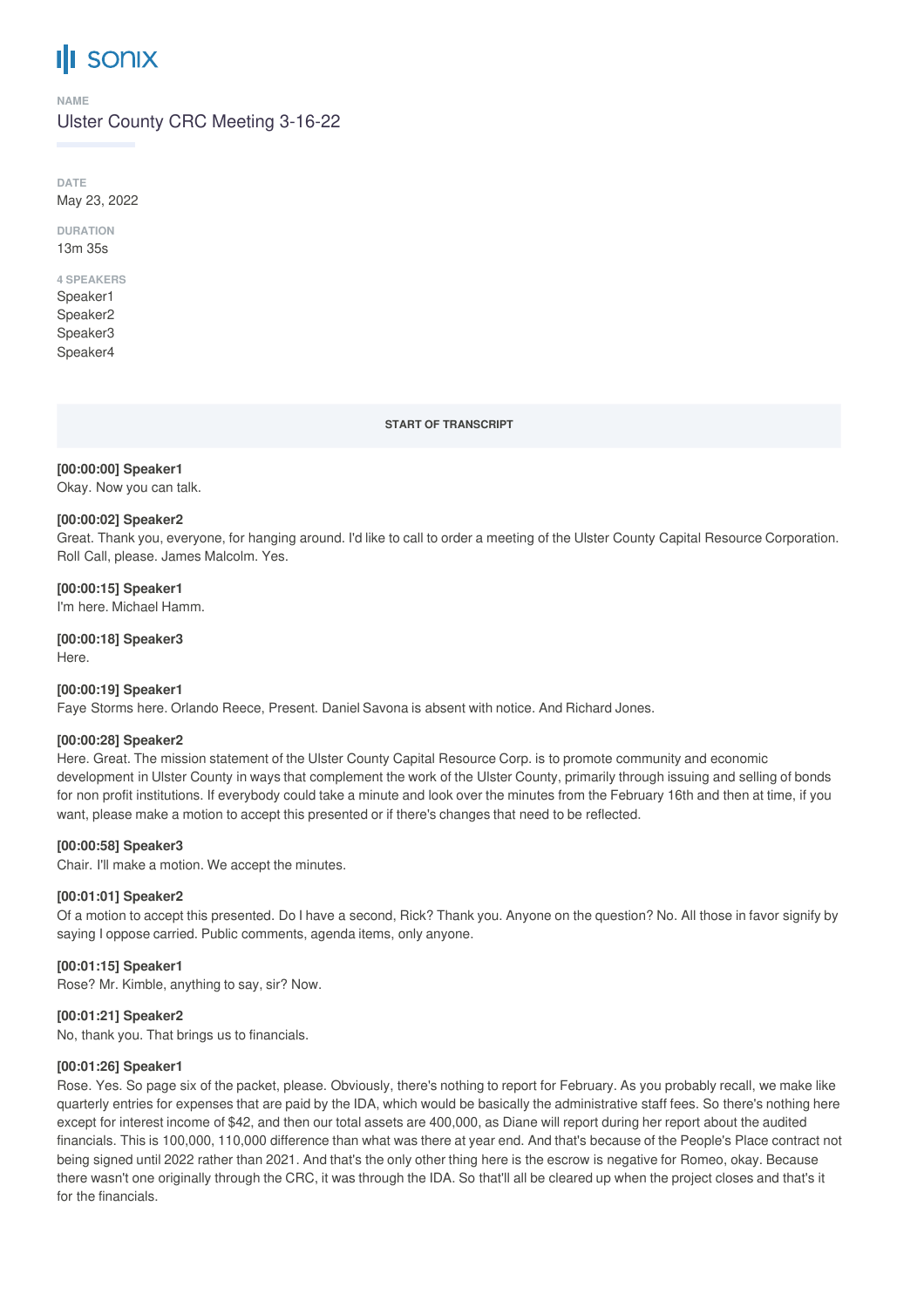# **III** sonix

#### **NAME**

Ulster County CRC Meeting 3-16-22

**DATE** May 23, 2022

**DURATION** 13m 35s

# **4 SPEAKERS**

Speaker1 Speaker2 Speaker3 Speaker4

**START OF TRANSCRIPT**

#### **[00:00:00] Speaker1**

Okay. Now you can talk.

#### **[00:00:02] Speaker2**

Great. Thank you, everyone, for hanging around. I'd like to call to order a meeting of the Ulster County Capital Resource Corporation. Roll Call, please. James Malcolm. Yes.

# **[00:00:15] Speaker1**

I'm here. Michael Hamm.

**[00:00:18] Speaker3** Here.

#### **[00:00:19] Speaker1**

Faye Storms here. Orlando Reece, Present. Daniel Savona is absent with notice. And Richard Jones.

#### **[00:00:28] Speaker2**

Here. Great. The mission statement of the Ulster County Capital Resource Corp. is to promote community and economic development in Ulster County in ways that complement the work of the Ulster County, primarily through issuing and selling of bonds for non profit institutions. If everybody could take a minute and look over the minutes from the February 16th and then at time, if you want, please make a motion to accept this presented or if there's changes that need to be reflected.

# **[00:00:58] Speaker3**

Chair. I'll make a motion. We accept the minutes.

#### **[00:01:01] Speaker2**

Of a motion to accept this presented. Do I have a second, Rick? Thank you. Anyone on the question? No. All those in favor signify by saying I oppose carried. Public comments, agenda items, only anyone.

# **[00:01:15] Speaker1**

Rose? Mr. Kimble, anything to say, sir? Now.

#### **[00:01:21] Speaker2**

No, thank you. That brings us to financials.

#### **[00:01:26] Speaker1**

Rose. Yes. So page six of the packet, please. Obviously, there's nothing to report for February. As you probably recall, we make like quarterly entries for expenses that are paid by the IDA, which would be basically the administrative staff fees. So there's nothing here except for interest income of \$42, and then our total assets are 400,000, as Diane will report during her report about the audited financials. This is 100,000, 110,000 difference than what was there at year end. And that's because of the People's Place contract not being signed until 2022 rather than 2021. And that's the only other thing here is the escrow is negative for Romeo, okay. Because there wasn't one originally through the CRC, it was through the IDA. So that'll all be cleared up when the project closes and that's it for the financials.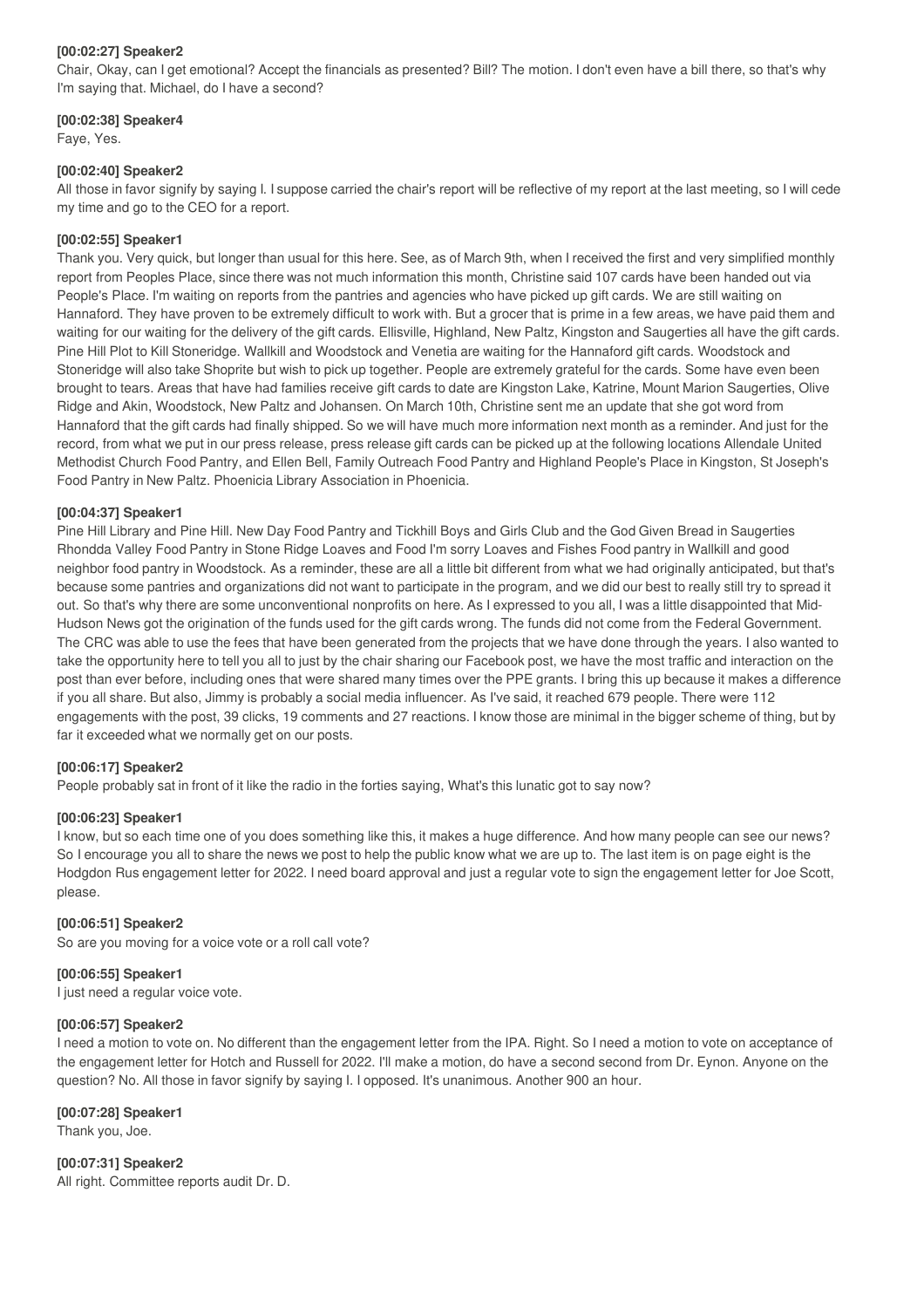#### **[00:02:27] Speaker2**

Chair, Okay, can I get emotional? Accept the financials as presented? Bill? The motion. I don't even have a bill there, so that's why I'm saying that. Michael, do I have a second?

#### **[00:02:38] Speaker4**

Faye, Yes.

#### **[00:02:40] Speaker2**

All those in favor signify by saying I. I suppose carried the chair's report will be reflective of my report at the last meeting, so I will cede my time and go to the CEO for a report.

#### **[00:02:55] Speaker1**

Thank you. Very quick, but longer than usual for this here. See, as of March 9th, when I received the first and very simplified monthly report from Peoples Place, since there was not much information this month, Christine said 107 cards have been handed out via People's Place. I'm waiting on reports from the pantries and agencies who have picked up gift cards. We are still waiting on Hannaford. They have proven to be extremely difficult to work with. But a grocer that is prime in a few areas, we have paid them and waiting for our waiting for the delivery of the gift cards. Ellisville, Highland, New Paltz, Kingston and Saugerties all have the gift cards. Pine Hill Plot to Kill Stoneridge. Wallkill and Woodstock and Venetia are waiting for the Hannaford gift cards. Woodstock and Stoneridge will also take Shoprite but wish to pick up together. People are extremely grateful for the cards. Some have even been brought to tears. Areas that have had families receive gift cards to date are Kingston Lake, Katrine, Mount Marion Saugerties, Olive Ridge and Akin, Woodstock, New Paltz and Johansen. On March 10th, Christine sent me an update that she got word from Hannaford that the gift cards had finally shipped. So we will have much more information next month as a reminder. And just for the record, from what we put in our press release, press release gift cards can be picked up at the following locations Allendale United Methodist Church Food Pantry, and Ellen Bell, Family Outreach Food Pantry and Highland People's Place in Kingston, St Joseph's Food Pantry in New Paltz. Phoenicia Library Association in Phoenicia.

#### **[00:04:37] Speaker1**

Pine Hill Library and Pine Hill. New Day Food Pantry and Tickhill Boys and Girls Club and the God Given Bread in Saugerties Rhondda Valley Food Pantry in Stone Ridge Loaves and Food I'm sorry Loaves and Fishes Food pantry in Wallkill and good neighbor food pantry in Woodstock. As a reminder, these are all a little bit different from what we had originally anticipated, but that's because some pantries and organizations did not want to participate in the program, and we did our best to really still try to spread it out. So that's why there are some unconventional nonprofits on here. As I expressed to you all, I was a little disappointed that Mid-Hudson News got the origination of the funds used for the gift cards wrong. The funds did not come from the Federal Government. The CRC was able to use the fees that have been generated from the projects that we have done through the years. I also wanted to take the opportunity here to tell you all to just by the chair sharing our Facebook post, we have the most traffic and interaction on the post than ever before, including ones that were shared many times over the PPE grants. I bring this up because it makes a difference if you all share. But also, Jimmy is probably a social media influencer. As I've said, it reached 679 people. There were 112 engagements with the post, 39 clicks, 19 comments and 27 reactions. I know those are minimal in the bigger scheme of thing, but by far it exceeded what we normally get on our posts.

# **[00:06:17] Speaker2**

People probably sat in front of it like the radio in the forties saying, What's this lunatic got to say now?

# **[00:06:23] Speaker1**

I know, but so each time one of you does something like this, it makes a huge difference. And how many people can see our news? So I encourage you all to share the news we post to help the public know what we are up to. The last item is on page eight is the Hodgdon Rus engagement letter for 2022. I need board approval and just a regular vote to sign the engagement letter for Joe Scott, please.

# **[00:06:51] Speaker2**

So are you moving for a voice vote or a roll call vote?

#### **[00:06:55] Speaker1**

I just need a regular voice vote.

# **[00:06:57] Speaker2**

I need a motion to vote on. No different than the engagement letter from the IPA. Right. So I need a motion to vote on acceptance of the engagement letter for Hotch and Russell for 2022. I'll make a motion, do have a second second from Dr. Eynon. Anyone on the question? No. All those in favor signify by saying I. I opposed. It's unanimous. Another 900 an hour.

#### **[00:07:28] Speaker1**

Thank you, Joe.

**[00:07:31] Speaker2** All right. Committee reports audit Dr. D.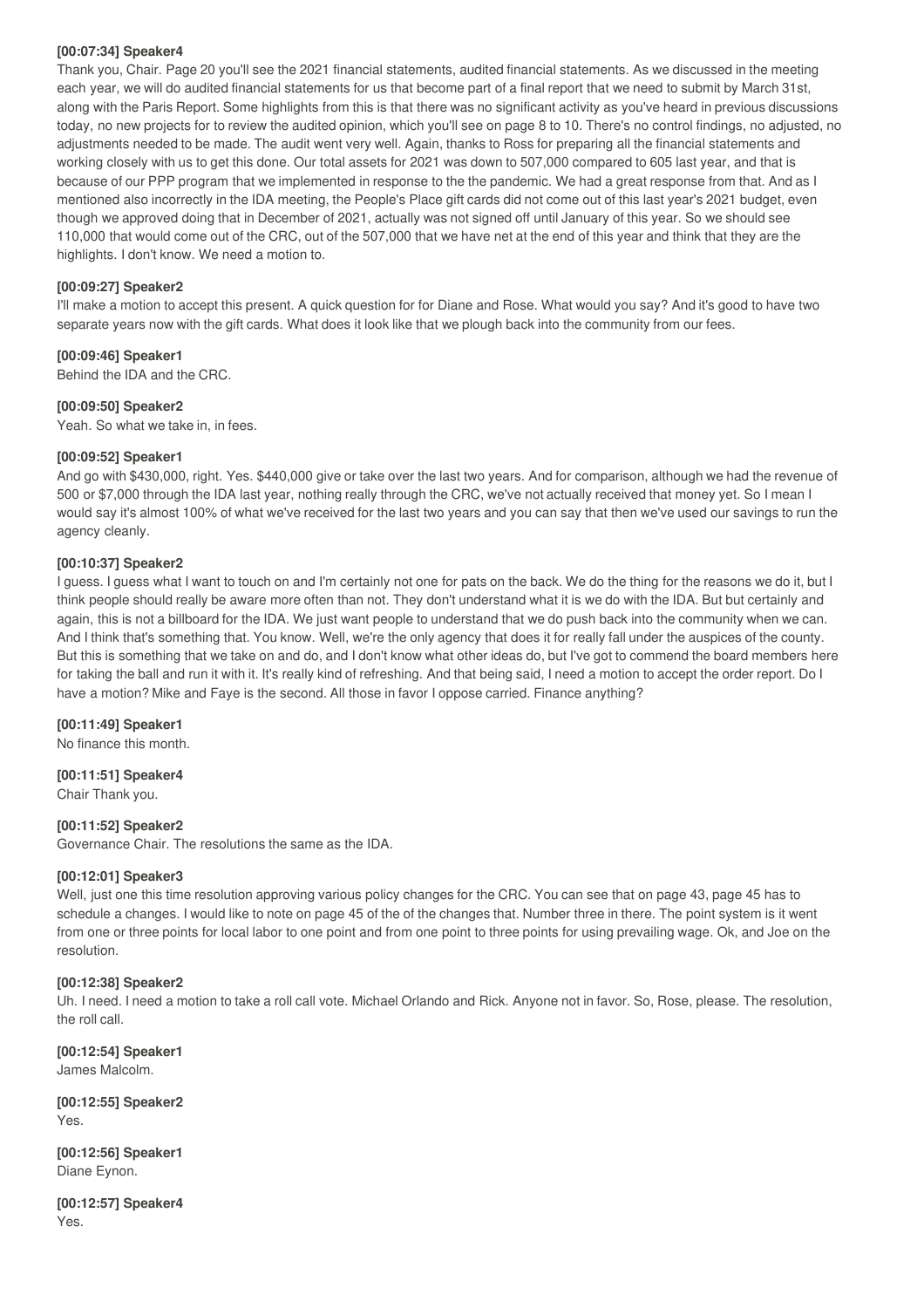#### **[00:07:34] Speaker4**

Thank you, Chair. Page 20 you'll see the 2021 financial statements, audited financial statements. As we discussed in the meeting each year, we will do audited financial statements for us that become part of a final report that we need to submit by March 31st, along with the Paris Report. Some highlights from this is that there was no significant activity as you've heard in previous discussions today, no new projects for to review the audited opinion, which you'll see on page 8 to 10. There's no control findings, no adjusted, no adjustments needed to be made. The audit went very well. Again, thanks to Ross for preparing all the financial statements and working closely with us to get this done. Our total assets for 2021 was down to 507,000 compared to 605 last year, and that is because of our PPP program that we implemented in response to the the pandemic. We had a great response from that. And as I mentioned also incorrectly in the IDA meeting, the People's Place gift cards did not come out of this last year's 2021 budget, even though we approved doing that in December of 2021, actually was not signed off until January of this year. So we should see 110,000 that would come out of the CRC, out of the 507,000 that we have net at the end of this year and think that they are the highlights. I don't know. We need a motion to.

# **[00:09:27] Speaker2**

I'll make a motion to accept this present. A quick question for for Diane and Rose. What would you say? And it's good to have two separate years now with the gift cards. What does it look like that we plough back into the community from our fees.

# **[00:09:46] Speaker1**

Behind the IDA and the CRC.

# **[00:09:50] Speaker2**

Yeah. So what we take in, in fees.

# **[00:09:52] Speaker1**

And go with \$430,000, right. Yes. \$440,000 give or take over the last two years. And for comparison, although we had the revenue of 500 or \$7,000 through the IDA last year, nothing really through the CRC, we've not actually received that money yet. So I mean I would say it's almost 100% of what we've received for the last two years and you can say that then we've used our savings to run the agency cleanly.

# **[00:10:37] Speaker2**

I guess. I guess what I want to touch on and I'm certainly not one for pats on the back. We do the thing for the reasons we do it, but I think people should really be aware more often than not. They don't understand what it is we do with the IDA. But but certainly and again, this is not a billboard for the IDA. We just want people to understand that we do push back into the community when we can. And I think that's something that. You know. Well, we're the only agency that does it for really fall under the auspices of the county. But this is something that we take on and do, and I don't know what other ideas do, but I've got to commend the board members here for taking the ball and run it with it. It's really kind of refreshing. And that being said, I need a motion to accept the order report. Do I have a motion? Mike and Faye is the second. All those in favor I oppose carried. Finance anything?

# **[00:11:49] Speaker1**

No finance this month.

# **[00:11:51] Speaker4**

Chair Thank you.

# **[00:11:52] Speaker2**

Governance Chair. The resolutions the same as the IDA.

# **[00:12:01] Speaker3**

Well, just one this time resolution approving various policy changes for the CRC. You can see that on page 43, page 45 has to schedule a changes. I would like to note on page 45 of the of the changes that. Number three in there. The point system is it went from one or three points for local labor to one point and from one point to three points for using prevailing wage. Ok, and Joe on the resolution.

# **[00:12:38] Speaker2**

Uh. I need. I need a motion to take a roll call vote. Michael Orlando and Rick. Anyone not in favor. So, Rose, please. The resolution, the roll call.

**[00:12:54] Speaker1** James Malcolm.

**[00:12:55] Speaker2** Yes.

**[00:12:56] Speaker1** Diane Eynon.

**[00:12:57] Speaker4** Yes.